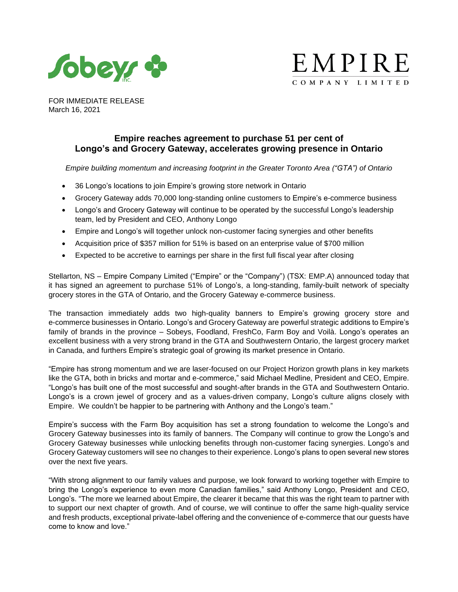



FOR IMMEDIATE RELEASE March 16, 2021

# **Empire reaches agreement to purchase 51 per cent of Longo's and Grocery Gateway, accelerates growing presence in Ontario**

*Empire building momentum and increasing footprint in the Greater Toronto Area ("GTA") of Ontario*

- 36 Longo's locations to join Empire's growing store network in Ontario
- Grocery Gateway adds 70,000 long-standing online customers to Empire's e-commerce business
- Longo's and Grocery Gateway will continue to be operated by the successful Longo's leadership team, led by President and CEO, Anthony Longo
- Empire and Longo's will together unlock non-customer facing synergies and other benefits
- Acquisition price of \$357 million for 51% is based on an enterprise value of \$700 million
- Expected to be accretive to earnings per share in the first full fiscal year after closing

Stellarton, NS – Empire Company Limited ("Empire" or the "Company") (TSX: EMP.A) announced today that it has signed an agreement to purchase 51% of Longo's, a long-standing, family-built network of specialty grocery stores in the GTA of Ontario, and the Grocery Gateway e-commerce business.

The transaction immediately adds two high-quality banners to Empire's growing grocery store and e-commerce businesses in Ontario. Longo's and Grocery Gateway are powerful strategic additions to Empire's family of brands in the province – Sobeys, Foodland, FreshCo, Farm Boy and Voilà. Longo's operates an excellent business with a very strong brand in the GTA and Southwestern Ontario, the largest grocery market in Canada, and furthers Empire's strategic goal of growing its market presence in Ontario.

"Empire has strong momentum and we are laser-focused on our Project Horizon growth plans in key markets like the GTA, both in bricks and mortar and e-commerce," said Michael Medline, President and CEO, Empire. "Longo's has built one of the most successful and sought-after brands in the GTA and Southwestern Ontario. Longo's is a crown jewel of grocery and as a values-driven company, Longo's culture aligns closely with Empire. We couldn't be happier to be partnering with Anthony and the Longo's team."

Empire's success with the Farm Boy acquisition has set a strong foundation to welcome the Longo's and Grocery Gateway businesses into its family of banners. The Company will continue to grow the Longo's and Grocery Gateway businesses while unlocking benefits through non-customer facing synergies. Longo's and Grocery Gateway customers will see no changes to their experience. Longo's plans to open several new stores over the next five years.

"With strong alignment to our family values and purpose, we look forward to working together with Empire to bring the Longo's experience to even more Canadian families," said Anthony Longo, President and CEO, Longo's. "The more we learned about Empire, the clearer it became that this was the right team to partner with to support our next chapter of growth. And of course, we will continue to offer the same high-quality service and fresh products, exceptional private-label offering and the convenience of e-commerce that our guests have come to know and love."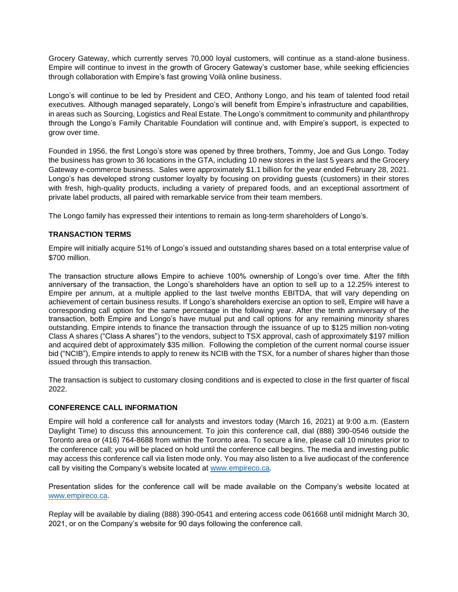Grocery Gateway, which currently serves 70,000 loyal customers, will continue as a stand-alone business. Empire will continue to invest in the growth of Grocery Gateway's customer base, while seeking efficiencies through collaboration with Empire's fast growing Voilà online business.

Longo's will continue to be led by President and CEO, Anthony Longo, and his team of talented food retail executives. Although managed separately, Longo's will benefit from Empire's infrastructure and capabilities, in areas such as Sourcing, Logistics and Real Estate. The Longo's commitment to community and philanthropy through the Longo's Family Charitable Foundation will continue and, with Empire's support, is expected to grow over time.

Founded in 1956, the first Longo's store was opened by three brothers, Tommy, Joe and Gus Longo. Today the business has grown to 36 locations in the GTA, including 10 new stores in the last 5 years and the Grocery Gateway e-commerce business. Sales were approximately \$1.1 billion for the year ended February 28, 2021. Longo's has developed strong customer loyalty by focusing on providing guests (customers) in their stores with fresh, high-quality products, including a variety of prepared foods, and an exceptional assortment of private label products, all paired with remarkable service from their team members.

The Longo family has expressed their intentions to remain as long-term shareholders of Longo's.

## **TRANSACTION TERMS**

Empire will initially acquire 51% of Longo's issued and outstanding shares based on a total enterprise value of \$700 million.

The transaction structure allows Empire to achieve 100% ownership of Longo's over time. After the fifth anniversary of the transaction, the Longo's shareholders have an option to sell up to a 12.25% interest to Empire per annum, at a multiple applied to the last twelve months EBITDA, that will vary depending on achievement of certain business results. If Longo's shareholders exercise an option to sell, Empire will have a corresponding call option for the same percentage in the following year. After the tenth anniversary of the transaction, both Empire and Longo's have mutual put and call options for any remaining minority shares outstanding. Empire intends to finance the transaction through the issuance of up to \$125 million non-voting Class A shares ("Class A shares") to the vendors, subject to TSX approval, cash of approximately \$197 million and acquired debt of approximately \$35 million. Following the completion of the current normal course issuer bid ("NCIB"), Empire intends to apply to renew its NCIB with the TSX, for a number of shares higher than those issued through this transaction.

The transaction is subject to customary closing conditions and is expected to close in the first quarter of fiscal 2022.

#### **CONFERENCE CALL INFORMATION**

Empire will hold a conference call for analysts and investors today (March 16, 2021) at 9:00 a.m. (Eastern Daylight Time) to discuss this announcement. To join this conference call, dial (888) 390-0546 outside the Toronto area or (416) 764-8688 from within the Toronto area. To secure a line, please call 10 minutes prior to the conference call; you will be placed on hold until the conference call begins. The media and investing public may access this conference call via listen mode only. You may also listen to a live audiocast of the conference call by visiting the Company's website located at [www.empireco.ca.](http://www.empireco.ca/)

Presentation slides for the conference call will be made available on the Company's website located at [www.empireco.ca.](http://www.empireco.ca/)

Replay will be available by dialing (888) 390-0541 and entering access code 061668 until midnight March 30, 2021, or on the Company's website for 90 days following the conference call.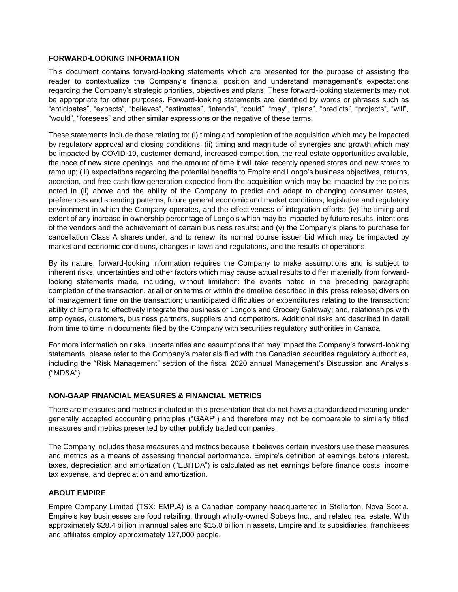### **FORWARD-LOOKING INFORMATION**

This document contains forward-looking statements which are presented for the purpose of assisting the reader to contextualize the Company's financial position and understand management's expectations regarding the Company's strategic priorities, objectives and plans. These forward-looking statements may not be appropriate for other purposes. Forward-looking statements are identified by words or phrases such as "anticipates", "expects", "believes", "estimates", "intends", "could", "may", "plans", "predicts", "projects", "will", "would", "foresees" and other similar expressions or the negative of these terms.

These statements include those relating to: (i) timing and completion of the acquisition which may be impacted by regulatory approval and closing conditions; (ii) timing and magnitude of synergies and growth which may be impacted by COVID-19, customer demand, increased competition, the real estate opportunities available, the pace of new store openings, and the amount of time it will take recently opened stores and new stores to ramp up; (iii) expectations regarding the potential benefits to Empire and Longo's business objectives, returns, accretion, and free cash flow generation expected from the acquisition which may be impacted by the points noted in (ii) above and the ability of the Company to predict and adapt to changing consumer tastes, preferences and spending patterns, future general economic and market conditions, legislative and regulatory environment in which the Company operates, and the effectiveness of integration efforts; (iv) the timing and extent of any increase in ownership percentage of Longo's which may be impacted by future results, intentions of the vendors and the achievement of certain business results; and (v) the Company's plans to purchase for cancellation Class A shares under, and to renew, its normal course issuer bid which may be impacted by market and economic conditions, changes in laws and regulations, and the results of operations.

By its nature, forward-looking information requires the Company to make assumptions and is subject to inherent risks, uncertainties and other factors which may cause actual results to differ materially from forwardlooking statements made, including, without limitation: the events noted in the preceding paragraph; completion of the transaction, at all or on terms or within the timeline described in this press release; diversion of management time on the transaction; unanticipated difficulties or expenditures relating to the transaction; ability of Empire to effectively integrate the business of Longo's and Grocery Gateway; and, relationships with employees, customers, business partners, suppliers and competitors. Additional risks are described in detail from time to time in documents filed by the Company with securities regulatory authorities in Canada.

For more information on risks, uncertainties and assumptions that may impact the Company's forward-looking statements, please refer to the Company's materials filed with the Canadian securities regulatory authorities, including the "Risk Management" section of the fiscal 2020 annual Management's Discussion and Analysis ("MD&A").

## **NON-GAAP FINANCIAL MEASURES & FINANCIAL METRICS**

There are measures and metrics included in this presentation that do not have a standardized meaning under generally accepted accounting principles ("GAAP") and therefore may not be comparable to similarly titled measures and metrics presented by other publicly traded companies.

The Company includes these measures and metrics because it believes certain investors use these measures and metrics as a means of assessing financial performance. Empire's definition of earnings before interest, taxes, depreciation and amortization ("EBITDA") is calculated as net earnings before finance costs, income tax expense, and depreciation and amortization.

## **ABOUT EMPIRE**

Empire Company Limited (TSX: EMP.A) is a Canadian company headquartered in Stellarton, Nova Scotia. Empire's key businesses are food retailing, through wholly-owned Sobeys Inc., and related real estate. With approximately \$28.4 billion in annual sales and \$15.0 billion in assets, Empire and its subsidiaries, franchisees and affiliates employ approximately 127,000 people.